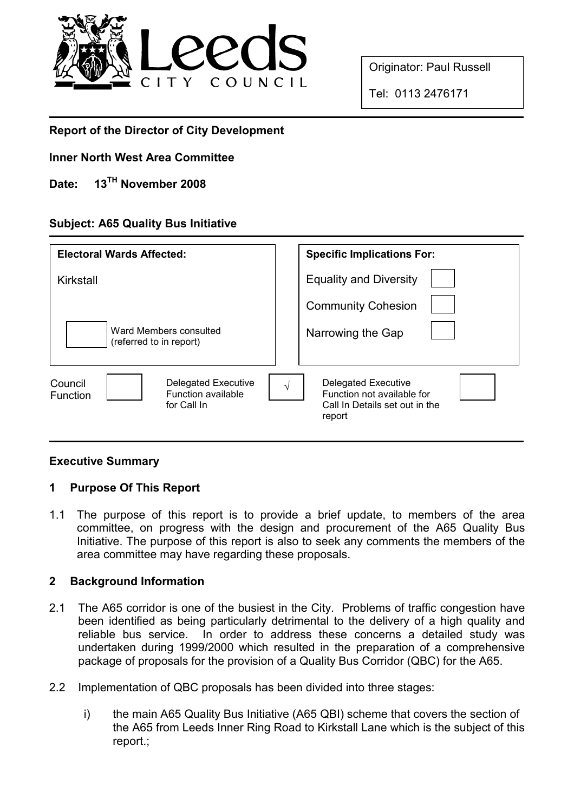

Originator: Paul Russell

Tel: 0113 2476171

# Report of the Director of City Development

### Inner North West Area Committee

# Date: 13<sup>TH</sup> November 2008

## Subject: A65 Quality Bus Initiative

| <b>Electoral Wards Affected:</b>                                                              | <b>Specific Implications For:</b>                                                                           |
|-----------------------------------------------------------------------------------------------|-------------------------------------------------------------------------------------------------------------|
| Kirkstall                                                                                     | <b>Equality and Diversity</b>                                                                               |
|                                                                                               | <b>Community Cohesion</b>                                                                                   |
| Ward Members consulted<br>(referred to in report)                                             | Narrowing the Gap                                                                                           |
| Council<br><b>Delegated Executive</b><br>Function available<br><b>Function</b><br>for Call In | Delegated Executive<br>$\sqrt{ }$<br>Function not available for<br>Call In Details set out in the<br>report |

### Executive Summary

## 1 Purpose Of This Report

1.1 The purpose of this report is to provide a brief update, to members of the area committee, on progress with the design and procurement of the A65 Quality Bus Initiative. The purpose of this report is also to seek any comments the members of the area committee may have regarding these proposals.

### 2 Background Information

- 2.1 The A65 corridor is one of the busiest in the City. Problems of traffic congestion have been identified as being particularly detrimental to the delivery of a high quality and reliable bus service. In order to address these concerns a detailed study was undertaken during 1999/2000 which resulted in the preparation of a comprehensive package of proposals for the provision of a Quality Bus Corridor (QBC) for the A65.
- 2.2 Implementation of QBC proposals has been divided into three stages:
	- i) the main A65 Quality Bus Initiative (A65 QBI) scheme that covers the section of the A65 from Leeds Inner Ring Road to Kirkstall Lane which is the subject of this report.;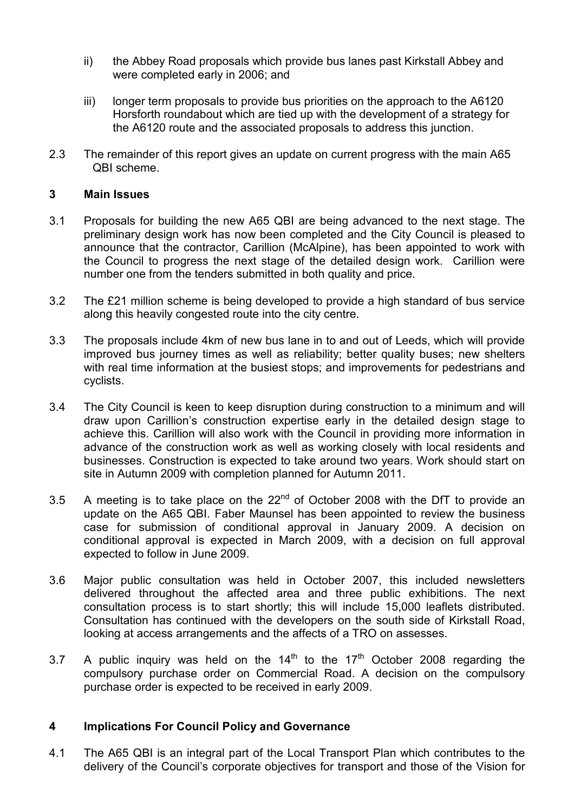- ii) the Abbey Road proposals which provide bus lanes past Kirkstall Abbey and were completed early in 2006; and
- iii) longer term proposals to provide bus priorities on the approach to the A6120 Horsforth roundabout which are tied up with the development of a strategy for the A6120 route and the associated proposals to address this junction.
- 2.3 The remainder of this report gives an update on current progress with the main A65 QBI scheme.

#### 3 Main Issues

- 3.1 Proposals for building the new A65 QBI are being advanced to the next stage. The preliminary design work has now been completed and the City Council is pleased to announce that the contractor, Carillion (McAlpine), has been appointed to work with the Council to progress the next stage of the detailed design work. Carillion were number one from the tenders submitted in both quality and price.
- 3.2 The £21 million scheme is being developed to provide a high standard of bus service along this heavily congested route into the city centre.
- 3.3 The proposals include 4km of new bus lane in to and out of Leeds, which will provide improved bus journey times as well as reliability; better quality buses; new shelters with real time information at the busiest stops; and improvements for pedestrians and cyclists.
- 3.4 The City Council is keen to keep disruption during construction to a minimum and will draw upon Carillion's construction expertise early in the detailed design stage to achieve this. Carillion will also work with the Council in providing more information in advance of the construction work as well as working closely with local residents and businesses. Construction is expected to take around two years. Work should start on site in Autumn 2009 with completion planned for Autumn 2011.
- 3.5 A meeting is to take place on the  $22<sup>nd</sup>$  of October 2008 with the DfT to provide an update on the A65 QBI. Faber Maunsel has been appointed to review the business case for submission of conditional approval in January 2009. A decision on conditional approval is expected in March 2009, with a decision on full approval expected to follow in June 2009.
- 3.6 Major public consultation was held in October 2007, this included newsletters delivered throughout the affected area and three public exhibitions. The next consultation process is to start shortly; this will include 15,000 leaflets distributed. Consultation has continued with the developers on the south side of Kirkstall Road, looking at access arrangements and the affects of a TRO on assesses.
- 3.7 A public inquiry was held on the  $14<sup>th</sup>$  to the  $17<sup>th</sup>$  October 2008 regarding the compulsory purchase order on Commercial Road. A decision on the compulsory purchase order is expected to be received in early 2009.

### 4 Implications For Council Policy and Governance

4.1 The A65 QBI is an integral part of the Local Transport Plan which contributes to the delivery of the Council's corporate objectives for transport and those of the Vision for